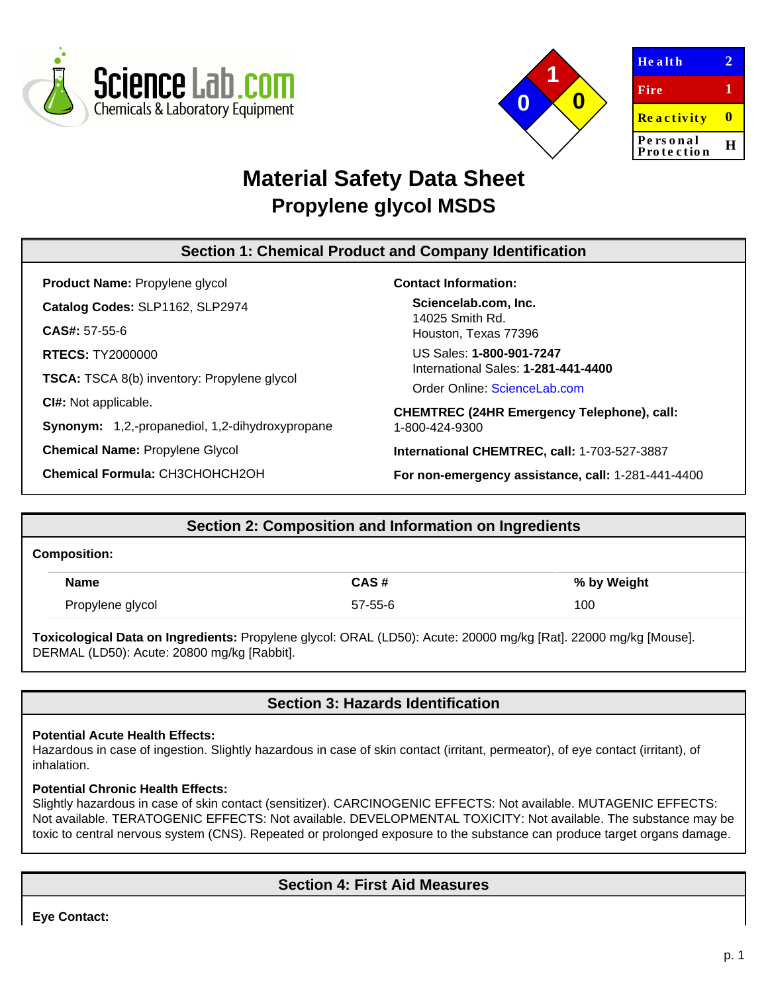



| Health                 | 2, |
|------------------------|----|
| Fire                   | 1  |
| <b>Reactivity</b>      | o  |
| Personal<br>Protection | н  |
|                        |    |

# **Material Safety Data Sheet Propylene glycol MSDS**

# **Section 1: Chemical Product and Company Identification**

**Product Name:** Propylene glycol **Catalog Codes:** SLP1162, SLP2974 **CAS#:** 57-55-6 **RTECS:** TY2000000 **TSCA:** TSCA 8(b) inventory: Propylene glycol **CI#:** Not applicable. **Synonym:** 1,2,-propanediol, 1,2-dihydroxypropane **Chemical Name:** Propylene Glycol

**Chemical Formula:** CH3CHOHCH2OH

### **Contact Information:**

**Sciencelab.com, Inc.** 14025 Smith Rd. Houston, Texas 77396

US Sales: **1-800-901-7247** International Sales: **1-281-441-4400**

Order Online: [ScienceLab.com](http://www.sciencelab.com/)

**CHEMTREC (24HR Emergency Telephone), call:** 1-800-424-9300

**International CHEMTREC, call:** 1-703-527-3887

**For non-emergency assistance, call:** 1-281-441-4400

# **Section 2: Composition and Information on Ingredients**

#### **Composition:**

| <b>Name</b>      | CAS#    | % by Weight |
|------------------|---------|-------------|
| Propylene glycol | 57-55-6 | 100         |

**Toxicological Data on Ingredients:** Propylene glycol: ORAL (LD50): Acute: 20000 mg/kg [Rat]. 22000 mg/kg [Mouse]. DERMAL (LD50): Acute: 20800 mg/kg [Rabbit].

# **Section 3: Hazards Identification**

#### **Potential Acute Health Effects:**

Hazardous in case of ingestion. Slightly hazardous in case of skin contact (irritant, permeator), of eye contact (irritant), of inhalation.

#### **Potential Chronic Health Effects:**

Slightly hazardous in case of skin contact (sensitizer). CARCINOGENIC EFFECTS: Not available. MUTAGENIC EFFECTS: Not available. TERATOGENIC EFFECTS: Not available. DEVELOPMENTAL TOXICITY: Not available. The substance may be toxic to central nervous system (CNS). Repeated or prolonged exposure to the substance can produce target organs damage.

# **Section 4: First Aid Measures**

**Eye Contact:**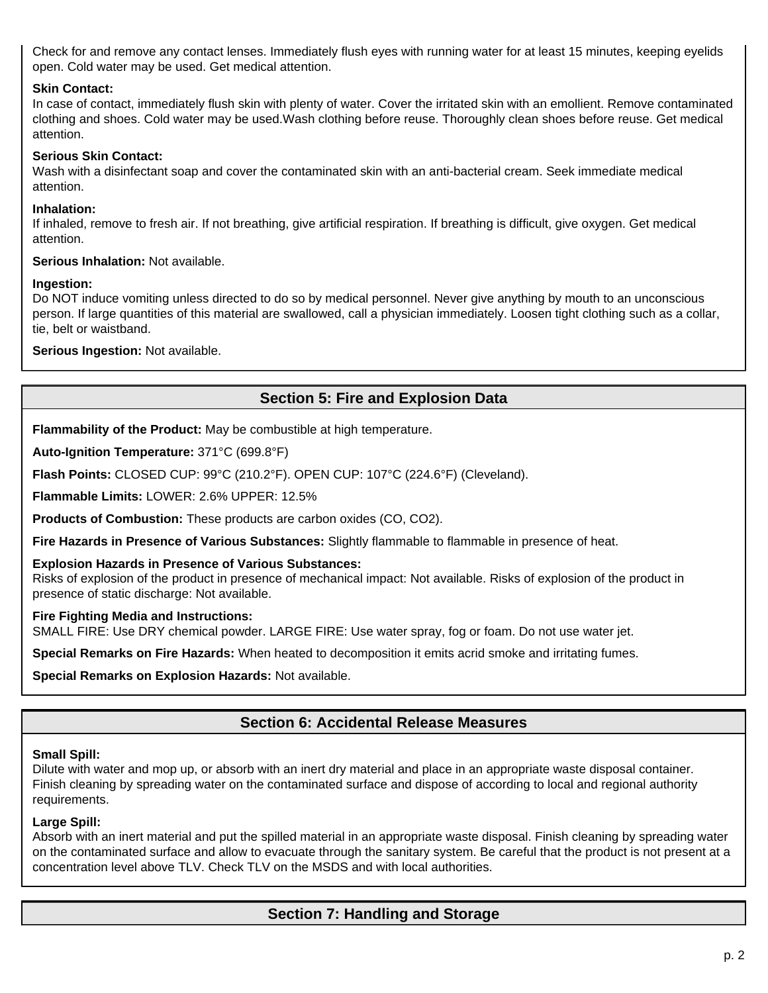Check for and remove any contact lenses. Immediately flush eyes with running water for at least 15 minutes, keeping eyelids open. Cold water may be used. Get medical attention.

#### **Skin Contact:**

In case of contact, immediately flush skin with plenty of water. Cover the irritated skin with an emollient. Remove contaminated clothing and shoes. Cold water may be used.Wash clothing before reuse. Thoroughly clean shoes before reuse. Get medical attention.

### **Serious Skin Contact:**

Wash with a disinfectant soap and cover the contaminated skin with an anti-bacterial cream. Seek immediate medical attention.

#### **Inhalation:**

If inhaled, remove to fresh air. If not breathing, give artificial respiration. If breathing is difficult, give oxygen. Get medical attention.

#### **Serious Inhalation:** Not available.

#### **Ingestion:**

Do NOT induce vomiting unless directed to do so by medical personnel. Never give anything by mouth to an unconscious person. If large quantities of this material are swallowed, call a physician immediately. Loosen tight clothing such as a collar, tie, belt or waistband.

**Serious Ingestion:** Not available.

# **Section 5: Fire and Explosion Data**

**Flammability of the Product:** May be combustible at high temperature.

**Auto-Ignition Temperature:** 371°C (699.8°F)

**Flash Points:** CLOSED CUP: 99°C (210.2°F). OPEN CUP: 107°C (224.6°F) (Cleveland).

**Flammable Limits:** LOWER: 2.6% UPPER: 12.5%

**Products of Combustion:** These products are carbon oxides (CO, CO2).

**Fire Hazards in Presence of Various Substances:** Slightly flammable to flammable in presence of heat.

#### **Explosion Hazards in Presence of Various Substances:**

Risks of explosion of the product in presence of mechanical impact: Not available. Risks of explosion of the product in presence of static discharge: Not available.

#### **Fire Fighting Media and Instructions:**

SMALL FIRE: Use DRY chemical powder. LARGE FIRE: Use water spray, fog or foam. Do not use water jet.

**Special Remarks on Fire Hazards:** When heated to decomposition it emits acrid smoke and irritating fumes.

**Special Remarks on Explosion Hazards:** Not available.

# **Section 6: Accidental Release Measures**

#### **Small Spill:**

Dilute with water and mop up, or absorb with an inert dry material and place in an appropriate waste disposal container. Finish cleaning by spreading water on the contaminated surface and dispose of according to local and regional authority requirements.

#### **Large Spill:**

Absorb with an inert material and put the spilled material in an appropriate waste disposal. Finish cleaning by spreading water on the contaminated surface and allow to evacuate through the sanitary system. Be careful that the product is not present at a concentration level above TLV. Check TLV on the MSDS and with local authorities.

### **Section 7: Handling and Storage**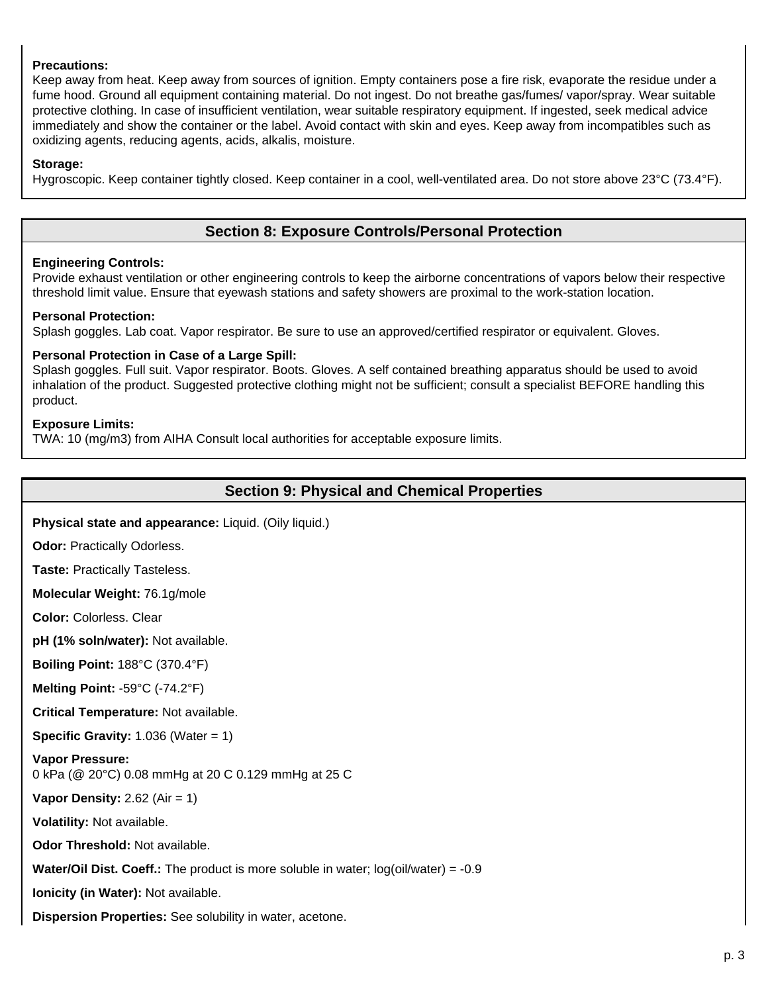#### **Precautions:**

Keep away from heat. Keep away from sources of ignition. Empty containers pose a fire risk, evaporate the residue under a fume hood. Ground all equipment containing material. Do not ingest. Do not breathe gas/fumes/ vapor/spray. Wear suitable protective clothing. In case of insufficient ventilation, wear suitable respiratory equipment. If ingested, seek medical advice immediately and show the container or the label. Avoid contact with skin and eyes. Keep away from incompatibles such as oxidizing agents, reducing agents, acids, alkalis, moisture.

#### **Storage:**

Hygroscopic. Keep container tightly closed. Keep container in a cool, well-ventilated area. Do not store above 23°C (73.4°F).

### **Section 8: Exposure Controls/Personal Protection**

#### **Engineering Controls:**

Provide exhaust ventilation or other engineering controls to keep the airborne concentrations of vapors below their respective threshold limit value. Ensure that eyewash stations and safety showers are proximal to the work-station location.

#### **Personal Protection:**

Splash goggles. Lab coat. Vapor respirator. Be sure to use an approved/certified respirator or equivalent. Gloves.

#### **Personal Protection in Case of a Large Spill:**

Splash goggles. Full suit. Vapor respirator. Boots. Gloves. A self contained breathing apparatus should be used to avoid inhalation of the product. Suggested protective clothing might not be sufficient; consult a specialist BEFORE handling this product.

#### **Exposure Limits:**

TWA: 10 (mg/m3) from AIHA Consult local authorities for acceptable exposure limits.

### **Section 9: Physical and Chemical Properties**

**Physical state and appearance:** Liquid. (Oily liquid.)

**Odor:** Practically Odorless.

**Taste:** Practically Tasteless.

**Molecular Weight:** 76.1g/mole

**Color:** Colorless. Clear

**pH (1% soln/water):** Not available.

**Boiling Point:** 188°C (370.4°F)

**Melting Point:** -59°C (-74.2°F)

**Critical Temperature:** Not available.

**Specific Gravity:** 1.036 (Water = 1)

**Vapor Pressure:** 0 kPa (@ 20°C) 0.08 mmHg at 20 C 0.129 mmHg at 25 C

**Vapor Density:** 2.62 (Air = 1)

**Volatility:** Not available.

**Odor Threshold:** Not available.

**Water/Oil Dist. Coeff.:** The product is more soluble in water; log(oil/water) = -0.9

**Ionicity (in Water):** Not available.

**Dispersion Properties:** See solubility in water, acetone.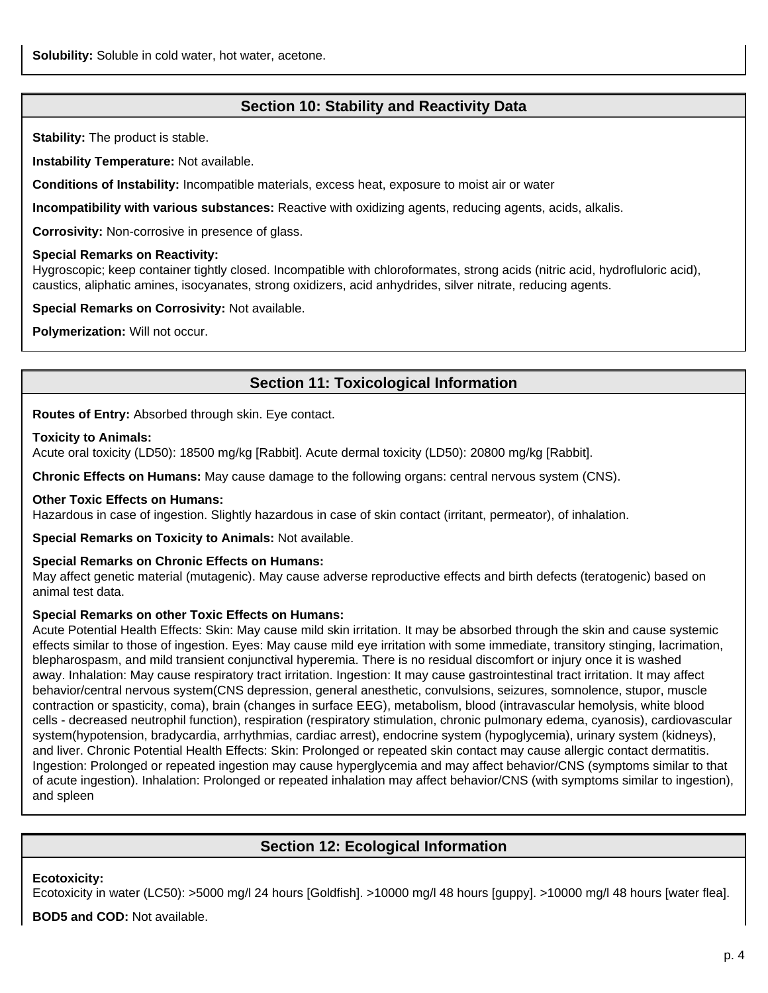## **Section 10: Stability and Reactivity Data**

**Stability:** The product is stable.

**Instability Temperature:** Not available.

**Conditions of Instability:** Incompatible materials, excess heat, exposure to moist air or water

**Incompatibility with various substances:** Reactive with oxidizing agents, reducing agents, acids, alkalis.

**Corrosivity:** Non-corrosive in presence of glass.

#### **Special Remarks on Reactivity:**

Hygroscopic; keep container tightly closed. Incompatible with chloroformates, strong acids (nitric acid, hydrofluloric acid), caustics, aliphatic amines, isocyanates, strong oxidizers, acid anhydrides, silver nitrate, reducing agents.

**Special Remarks on Corrosivity:** Not available.

**Polymerization:** Will not occur.

# **Section 11: Toxicological Information**

**Routes of Entry:** Absorbed through skin. Eye contact.

#### **Toxicity to Animals:**

Acute oral toxicity (LD50): 18500 mg/kg [Rabbit]. Acute dermal toxicity (LD50): 20800 mg/kg [Rabbit].

**Chronic Effects on Humans:** May cause damage to the following organs: central nervous system (CNS).

#### **Other Toxic Effects on Humans:**

Hazardous in case of ingestion. Slightly hazardous in case of skin contact (irritant, permeator), of inhalation.

**Special Remarks on Toxicity to Animals:** Not available.

#### **Special Remarks on Chronic Effects on Humans:**

May affect genetic material (mutagenic). May cause adverse reproductive effects and birth defects (teratogenic) based on animal test data.

#### **Special Remarks on other Toxic Effects on Humans:**

Acute Potential Health Effects: Skin: May cause mild skin irritation. It may be absorbed through the skin and cause systemic effects similar to those of ingestion. Eyes: May cause mild eye irritation with some immediate, transitory stinging, lacrimation, blepharospasm, and mild transient conjunctival hyperemia. There is no residual discomfort or injury once it is washed away. Inhalation: May cause respiratory tract irritation. Ingestion: It may cause gastrointestinal tract irritation. It may affect behavior/central nervous system(CNS depression, general anesthetic, convulsions, seizures, somnolence, stupor, muscle contraction or spasticity, coma), brain (changes in surface EEG), metabolism, blood (intravascular hemolysis, white blood cells - decreased neutrophil function), respiration (respiratory stimulation, chronic pulmonary edema, cyanosis), cardiovascular system(hypotension, bradycardia, arrhythmias, cardiac arrest), endocrine system (hypoglycemia), urinary system (kidneys), and liver. Chronic Potential Health Effects: Skin: Prolonged or repeated skin contact may cause allergic contact dermatitis. Ingestion: Prolonged or repeated ingestion may cause hyperglycemia and may affect behavior/CNS (symptoms similar to that of acute ingestion). Inhalation: Prolonged or repeated inhalation may affect behavior/CNS (with symptoms similar to ingestion), and spleen

### **Section 12: Ecological Information**

#### **Ecotoxicity:**

Ecotoxicity in water (LC50): >5000 mg/l 24 hours [Goldfish]. >10000 mg/l 48 hours [guppy]. >10000 mg/l 48 hours [water flea].

**BOD5 and COD:** Not available.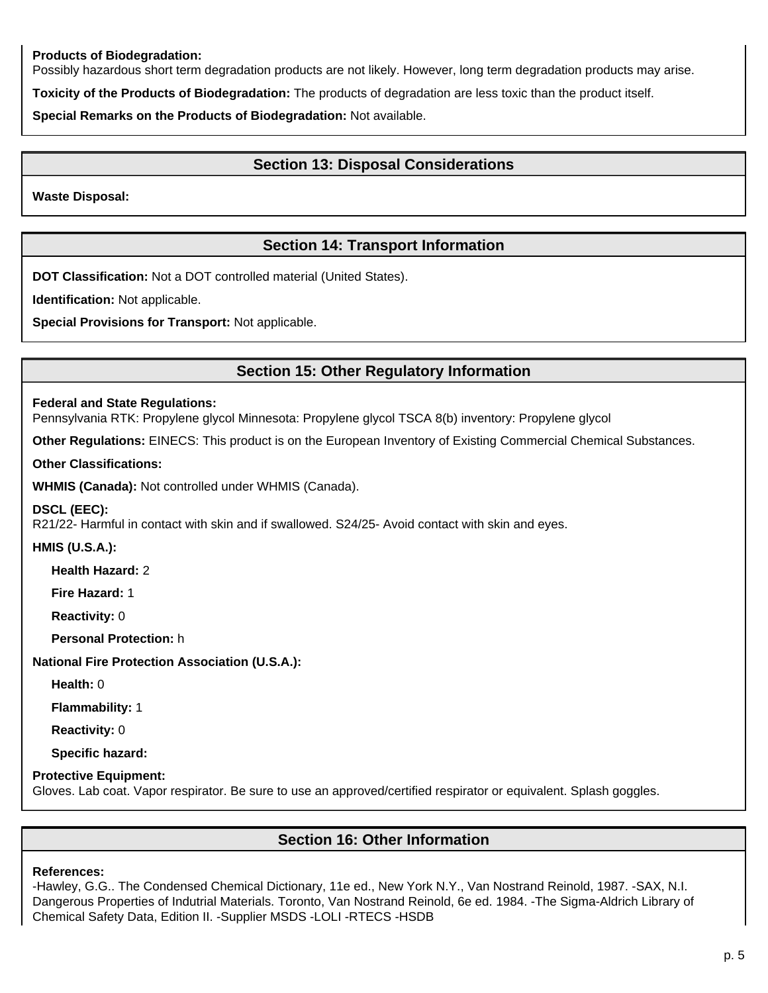#### **Products of Biodegradation:**

Possibly hazardous short term degradation products are not likely. However, long term degradation products may arise.

**Toxicity of the Products of Biodegradation:** The products of degradation are less toxic than the product itself.

**Special Remarks on the Products of Biodegradation:** Not available.

### **Section 13: Disposal Considerations**

**Waste Disposal:**

## **Section 14: Transport Information**

**DOT Classification:** Not a DOT controlled material (United States).

**Identification:** Not applicable.

**Special Provisions for Transport:** Not applicable.

### **Section 15: Other Regulatory Information**

#### **Federal and State Regulations:**

Pennsylvania RTK: Propylene glycol Minnesota: Propylene glycol TSCA 8(b) inventory: Propylene glycol

**Other Regulations:** EINECS: This product is on the European Inventory of Existing Commercial Chemical Substances.

#### **Other Classifications:**

**WHMIS (Canada):** Not controlled under WHMIS (Canada).

#### **DSCL (EEC):**

R21/22- Harmful in contact with skin and if swallowed. S24/25- Avoid contact with skin and eyes.

#### **HMIS (U.S.A.):**

**Health Hazard:** 2

**Fire Hazard:** 1

**Reactivity:** 0

**Personal Protection:** h

**National Fire Protection Association (U.S.A.):**

**Health:** 0

**Flammability:** 1

**Reactivity:** 0

**Specific hazard:**

#### **Protective Equipment:**

Gloves. Lab coat. Vapor respirator. Be sure to use an approved/certified respirator or equivalent. Splash goggles.

### **Section 16: Other Information**

#### **References:**

-Hawley, G.G.. The Condensed Chemical Dictionary, 11e ed., New York N.Y., Van Nostrand Reinold, 1987. -SAX, N.I. Dangerous Properties of Indutrial Materials. Toronto, Van Nostrand Reinold, 6e ed. 1984. -The Sigma-Aldrich Library of Chemical Safety Data, Edition II. -Supplier MSDS -LOLI -RTECS -HSDB